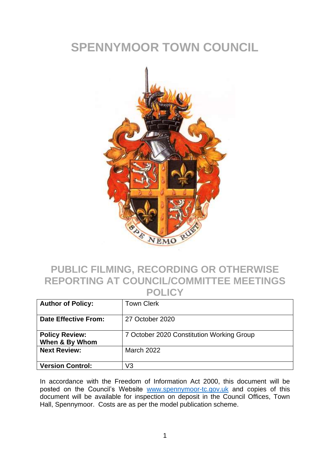## **SPENNYMOOR TOWN COUNCIL**



#### **PUBLIC FILMING, RECORDING OR OTHERWISE REPORTING AT COUNCIL/COMMITTEE MEETINGS POLICY**

| <b>Author of Policy:</b>                | <b>Town Clerk</b>                         |
|-----------------------------------------|-------------------------------------------|
| <b>Date Effective From:</b>             | 27 October 2020                           |
| <b>Policy Review:</b><br>When & By Whom | 7 October 2020 Constitution Working Group |
| <b>Next Review:</b>                     | <b>March 2022</b>                         |
| <b>Version Control:</b>                 | V3                                        |

In accordance with the Freedom of Information Act 2000, this document will be posted on the Council's Website [www.spennymoor-tc.gov.uk](http://www.spennymoor-tc.gov.uk/) and copies of this document will be available for inspection on deposit in the Council Offices, Town Hall, Spennymoor. Costs are as per the model publication scheme.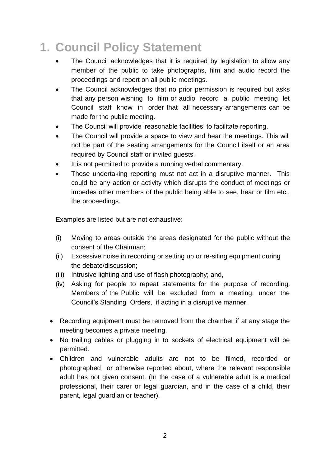# **1. Council Policy Statement**

- The Council acknowledges that it is required by legislation to allow any member of the public to take photographs, film and audio record the proceedings and report on all public meetings.
- The Council acknowledges that no prior permission is required but asks that any person wishing to film or audio record a public meeting let Council staff know in order that all necessary arrangements can be made for the public meeting.
- The Council will provide 'reasonable facilities' to facilitate reporting.
- The Council will provide a space to view and hear the meetings. This will not be part of the seating arrangements for the Council itself or an area required by Council staff or invited guests.
- It is not permitted to provide a running verbal commentary.
- Those undertaking reporting must not act in a disruptive manner. This could be any action or activity which disrupts the conduct of meetings or impedes other members of the public being able to see, hear or film etc., the proceedings.

Examples are listed but are not exhaustive:

- (i) Moving to areas outside the areas designated for the public without the consent of the Chairman;
- (ii) Excessive noise in recording or setting up or re-siting equipment during the debate/discussion;
- (iii) Intrusive lighting and use of flash photography; and,
- (iv) Asking for people to repeat statements for the purpose of recording. Members of the Public will be excluded from a meeting, under the Council's Standing Orders, if acting in a disruptive manner.
- Recording equipment must be removed from the chamber if at any stage the meeting becomes a private meeting.
- No trailing cables or plugging in to sockets of electrical equipment will be permitted.
- Children and vulnerable adults are not to be filmed, recorded or photographed or otherwise reported about, where the relevant responsible adult has not given consent. (In the case of a vulnerable adult is a medical professional, their carer or legal guardian, and in the case of a child, their parent, legal guardian or teacher).